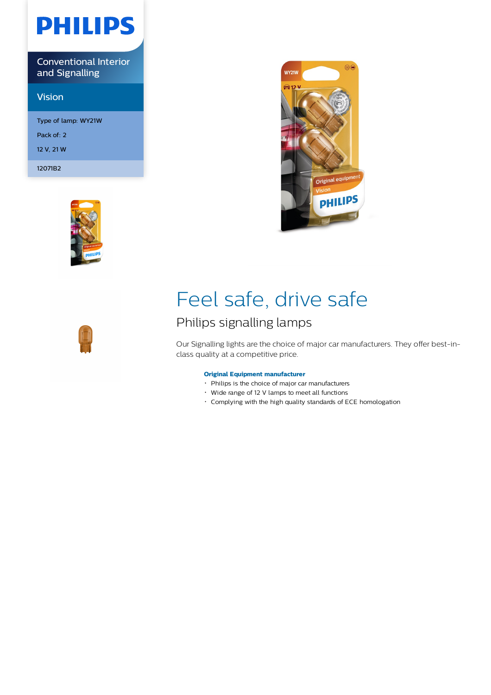# **PHILIPS**

Conventional Interior and Signalling

## Vision

Type of lamp: WY21W Pack of: 2 12 V, 21 W

12071B2





## Feel safe, drive safe

## Philips signalling lamps

Our Signalling lights are the choice of major car manufacturers. They offer best-inclass quality at a competitive price.

## **Original Equipment manufacturer**

- Philips is the choice of major car manufacturers
- Wide range of 12 V lamps to meet all functions
- Complying with the high quality standards of ECE homologation